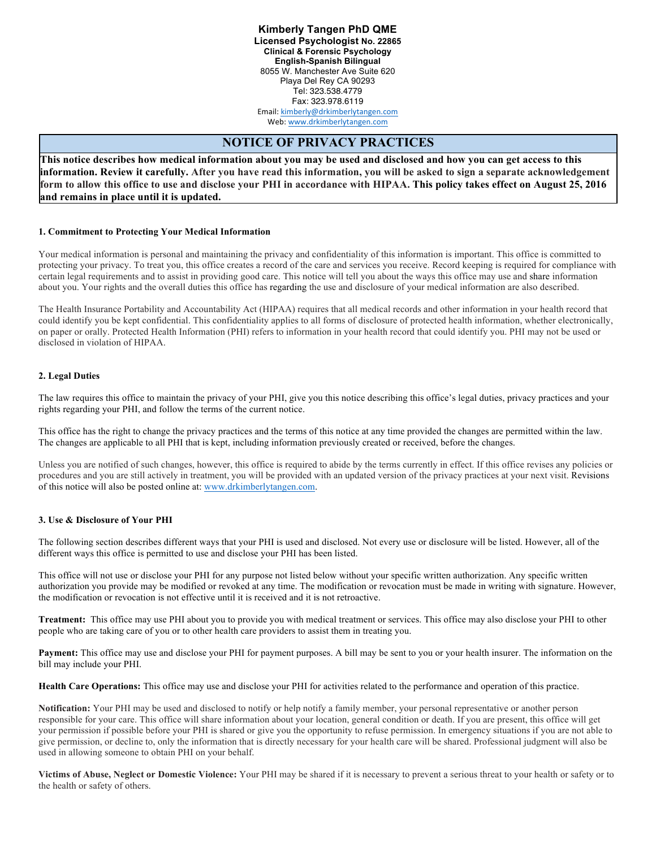**Kimberly Tangen PhD QME Licensed Psychologist No. 22865 Clinical & Forensic Psychology English-Spanish Bilingual** 8055 W. Manchester Ave Suite 620 Playa Del Rey CA 90293 Tel: 323.538.4779 Fax: 323.978.6119 Email: kimberly@drkimberlytangen.com Web: www.drkimberlytangen.com

# **NOTICE OF PRIVACY PRACTICES**

**This notice describes how medical information about you may be used and disclosed and how you can get access to this information. Review it carefully. After you have read this information, you will be asked to sign a separate acknowledgement form to allow this office to use and disclose your PHI in accordance with HIPAA. This policy takes effect on August 25, 2016 and remains in place until it is updated.**

## **1. Commitment to Protecting Your Medical Information**

Your medical information is personal and maintaining the privacy and confidentiality of this information is important. This office is committed to protecting your privacy. To treat you, this office creates a record of the care and services you receive. Record keeping is required for compliance with certain legal requirements and to assist in providing good care. This notice will tell you about the ways this office may use and share information about you. Your rights and the overall duties this office has regarding the use and disclosure of your medical information are also described.

The Health Insurance Portability and Accountability Act (HIPAA) requires that all medical records and other information in your health record that could identify you be kept confidential. This confidentiality applies to all forms of disclosure of protected health information, whether electronically, on paper or orally. Protected Health Information (PHI) refers to information in your health record that could identify you. PHI may not be used or disclosed in violation of HIPAA.

## **2. Legal Duties**

The law requires this office to maintain the privacy of your PHI, give you this notice describing this office's legal duties, privacy practices and your rights regarding your PHI, and follow the terms of the current notice.

This office has the right to change the privacy practices and the terms of this notice at any time provided the changes are permitted within the law. The changes are applicable to all PHI that is kept, including information previously created or received, before the changes.

Unless you are notified of such changes, however, this office is required to abide by the terms currently in effect. If this office revises any policies or procedures and you are still actively in treatment, you will be provided with an updated version of the privacy practices at your next visit. Revisions of this notice will also be posted online at: www.drkimberlytangen.com.

## **3. Use & Disclosure of Your PHI**

The following section describes different ways that your PHI is used and disclosed. Not every use or disclosure will be listed. However, all of the different ways this office is permitted to use and disclose your PHI has been listed.

This office will not use or disclose your PHI for any purpose not listed below without your specific written authorization. Any specific written authorization you provide may be modified or revoked at any time. The modification or revocation must be made in writing with signature. However, the modification or revocation is not effective until it is received and it is not retroactive.

**Treatment:** This office may use PHI about you to provide you with medical treatment or services. This office may also disclose your PHI to other people who are taking care of you or to other health care providers to assist them in treating you.

**Payment:** This office may use and disclose your PHI for payment purposes. A bill may be sent to you or your health insurer. The information on the bill may include your PHI.

**Health Care Operations:** This office may use and disclose your PHI for activities related to the performance and operation of this practice.

**Notification:** Your PHI may be used and disclosed to notify or help notify a family member, your personal representative or another person responsible for your care. This office will share information about your location, general condition or death. If you are present, this office will get your permission if possible before your PHI is shared or give you the opportunity to refuse permission. In emergency situations if you are not able to give permission, or decline to, only the information that is directly necessary for your health care will be shared. Professional judgment will also be used in allowing someone to obtain PHI on your behalf.

**Victims of Abuse, Neglect or Domestic Violence:** Your PHI may be shared if it is necessary to prevent a serious threat to your health or safety or to the health or safety of others.